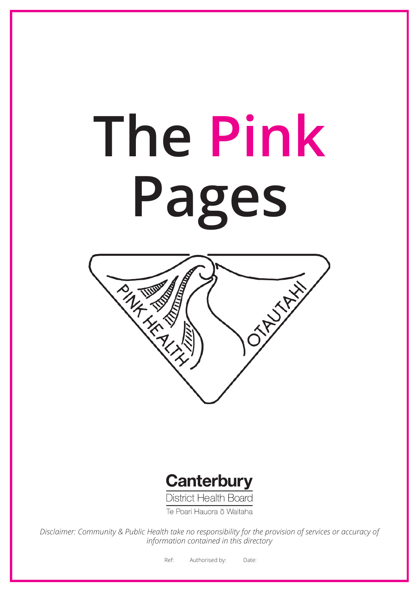# **The Pink Pages**





Te Poari Hauora ō Waitaha

*Disclaimer: Community & Public Health take no responsibility for the provision of services or accuracy of information contained in this directory*

Ref: Authorised by: Date: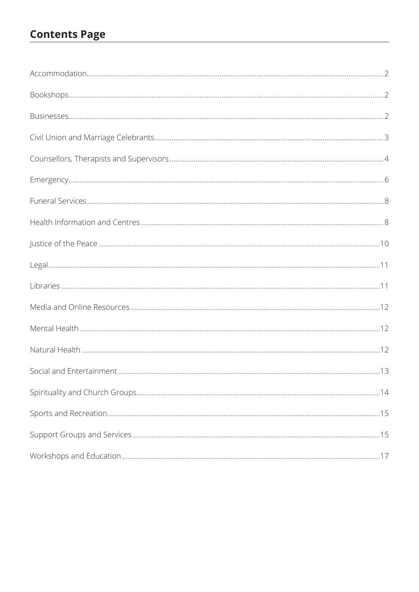# **Contents Page**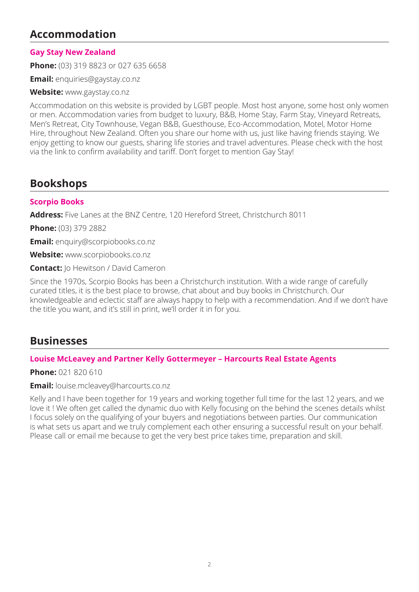# **Accommodation**

# **Gay Stay New Zealand**

**Phone:** (03) 319 8823 or 027 635 6658

**Email:** enquiries@gaystay.co.nz

**Website:** www.gaystay.co.nz

Accommodation on this website is provided by LGBT people. Most host anyone, some host only women or men. Accommodation varies from budget to luxury, B&B, Home Stay, Farm Stay, Vineyard Retreats, Men's Retreat, City Townhouse, Vegan B&B, Guesthouse, Eco-Accommodation, Motel, Motor Home Hire, throughout New Zealand. Often you share our home with us, just like having friends staying. We enjoy getting to know our guests, sharing life stories and travel adventures. Please check with the host via the link to confirm availability and tariff. Don't forget to mention Gay Stay!

# **Bookshops**

#### **Scorpio Books**

**Address:** Five Lanes at the BNZ Centre, 120 Hereford Street, Christchurch 8011

**Phone:** (03) 379 2882

**Email:** enquiry@scorpiobooks.co.nz

**Website:** www.scorpiobooks.co.nz

**Contact:** Jo Hewitson / David Cameron

Since the 1970s, Scorpio Books has been a Christchurch institution. With a wide range of carefully curated titles, it is the best place to browse, chat about and buy books in Christchurch. Our knowledgeable and eclectic staff are always happy to help with a recommendation. And if we don't have the title you want, and it's still in print, we'll order it in for you.

# **Businesses**

#### **Louise McLeavey and Partner Kelly Gottermeyer – Harcourts Real Estate Agents**

**Phone:** 021 820 610

**Email:** louise.mcleavey@harcourts.co.nz

Kelly and I have been together for 19 years and working together full time for the last 12 years, and we love it ! We often get called the dynamic duo with Kelly focusing on the behind the scenes details whilst I focus solely on the qualifying of your buyers and negotiations between parties. Our communication is what sets us apart and we truly complement each other ensuring a successful result on your behalf. Please call or email me because to get the very best price takes time, preparation and skill.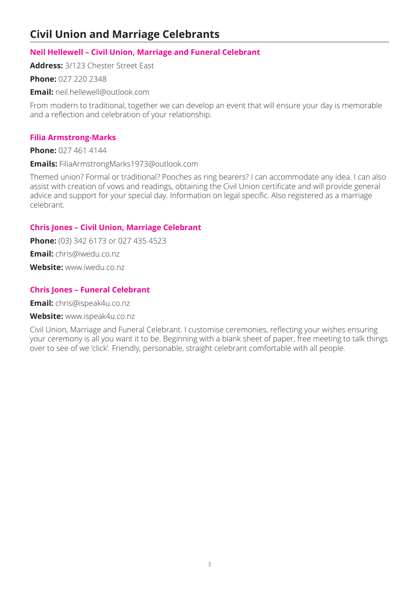# **Civil Union and Marriage Celebrants**

# **Neil Hellewell – Civil Union, Marriage and Funeral Celebrant**

**Address:** 3/123 Chester Street East

**Phone:** 027 220 2348

**Email:** neil.hellewell@outlook.com

From modern to traditional, together we can develop an event that will ensure your day is memorable and a reflection and celebration of your relationship.

# **Filia Armstrong-Marks**

**Phone:** 027 461 4144

**Emails:** FiliaArmstrongMarks1973@outlook.com

Themed union? Formal or traditional? Pooches as ring bearers? I can accommodate any idea. I can also assist with creation of vows and readings, obtaining the Civil Union certificate and will provide general advice and support for your special day. Information on legal specific. Also registered as a marriage celebrant.

# **Chris Jones – Civil Union, Marriage Celebrant**

**Phone:** (03) 342 6173 or 027 435 4523

**Email:** chris@iwedu.co.nz

Website: www.jwedu.co.nz

# **Chris Jones – Funeral Celebrant**

**Email:** chris@ispeak4u.co.nz

#### **Website:** www.ispeak4u.co.nz

Civil Union, Marriage and Funeral Celebrant. I customise ceremonies, reflecting your wishes ensuring your ceremony is all you want it to be. Beginning with a blank sheet of paper, free meeting to talk things over to see of we 'click'. Friendly, personable, straight celebrant comfortable with all people.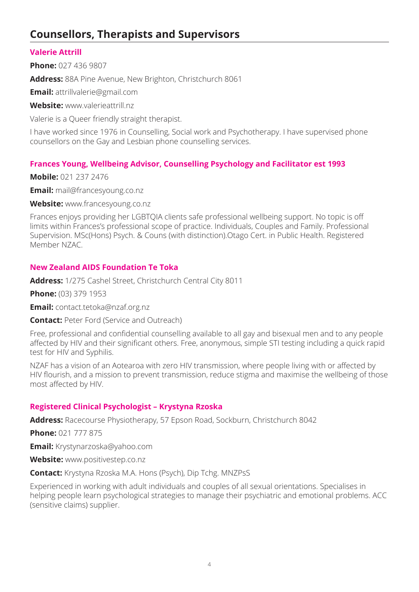# **Counsellors, Therapists and Supervisors**

# **Valerie Attrill**

**Phone:** 027 436 9807

**Address:** 88A Pine Avenue, New Brighton, Christchurch 8061

**Email:** attrillvalerie@gmail.com

**Website:** www.valerieattrill.nz

Valerie is a Queer friendly straight therapist.

I have worked since 1976 in Counselling, Social work and Psychotherapy. I have supervised phone counsellors on the Gay and Lesbian phone counselling services.

## **Frances Young, Wellbeing Advisor, Counselling Psychology and Facilitator est 1993**

**Mobile:** 021 237 2476

**Email:** mail@francesyoung.co.nz

**Website:** www.francesyoung.co.nz

Frances enjoys providing her LGBTQIA clients safe professional wellbeing support. No topic is off limits within Frances's professional scope of practice. Individuals, Couples and Family. Professional Supervision. MSc(Hons) Psych. & Couns (with distinction).Otago Cert. in Public Health. Registered Member NZAC.

## **New Zealand AIDS Foundation Te Toka**

**Address:** 1/275 Cashel Street, Christchurch Central City 8011

**Phone:** (03) 379 1953

**Email:** contact.tetoka@nzaf.org.nz

**Contact:** Peter Ford (Service and Outreach)

Free, professional and confidential counselling available to all gay and bisexual men and to any people affected by HIV and their significant others. Free, anonymous, simple STI testing including a quick rapid test for HIV and Syphilis.

NZAF has a vision of an Aotearoa with zero HIV transmission, where people living with or affected by HIV flourish, and a mission to prevent transmission, reduce stigma and maximise the wellbeing of those most affected by HIV.

#### **Registered Clinical Psychologist – Krystyna Rzoska**

**Address:** Racecourse Physiotherapy, 57 Epson Road, Sockburn, Christchurch 8042

**Phone:** 021 777 875

**Email:** Krystynarzoska@yahoo.com

**Website:** www.positivestep.co.nz

**Contact:** Krystyna Rzoska M.A. Hons (Psych), Dip Tchg. MNZPsS

Experienced in working with adult individuals and couples of all sexual orientations. Specialises in helping people learn psychological strategies to manage their psychiatric and emotional problems. ACC (sensitive claims) supplier.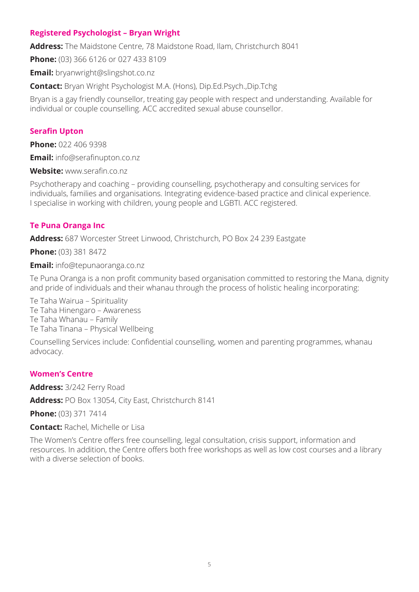## **Registered Psychologist – Bryan Wright**

**Address:** The Maidstone Centre, 78 Maidstone Road, Ilam, Christchurch 8041

**Phone:** (03) 366 6126 or 027 433 8109

**Email:** bryanwright@slingshot.co.nz

**Contact:** Bryan Wright Psychologist M.A. (Hons), Dip.Ed.Psych.,Dip.Tchg

Bryan is a gay friendly counsellor, treating gay people with respect and understanding. Available for individual or couple counselling. ACC accredited sexual abuse counsellor.

## **Serafin Upton**

**Phone:** 022 406 9398

**Email:** info@serafinupton.co.nz

**Website:** www.serafin.co.nz

Psychotherapy and coaching – providing counselling, psychotherapy and consulting services for individuals, families and organisations. Integrating evidence-based practice and clinical experience. I specialise in working with children, young people and LGBTI. ACC registered.

#### **Te Puna Oranga Inc**

**Address:** 687 Worcester Street Linwood, Christchurch, PO Box 24 239 Eastgate

**Phone:** (03) 381 8472

**Email:** info@tepunaoranga.co.nz

Te Puna Oranga is a non profit community based organisation committed to restoring the Mana, dignity and pride of individuals and their whanau through the process of holistic healing incorporating:

Te Taha Wairua – Spirituality Te Taha Hinengaro – Awareness Te Taha Whanau – Family Te Taha Tinana – Physical Wellbeing

Counselling Services include: Confidential counselling, women and parenting programmes, whanau advocacy.

#### **Women's Centre**

**Address:** 3/242 Ferry Road

**Address:** PO Box 13054, City East, Christchurch 8141

**Phone:** (03) 371 7414

**Contact:** Rachel, Michelle or Lisa

The Women's Centre offers free counselling, legal consultation, crisis support, information and resources. In addition, the Centre offers both free workshops as well as low cost courses and a library with a diverse selection of books.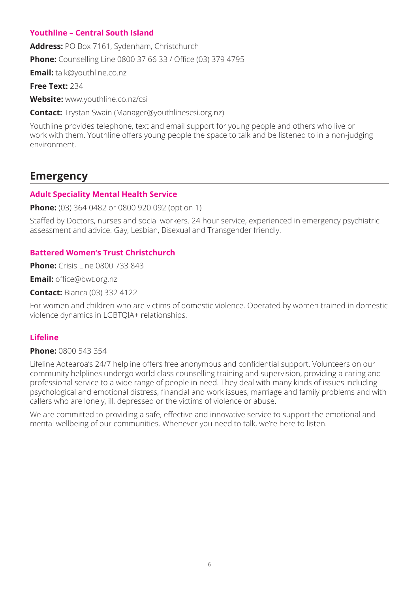# **Youthline – Central South Island**

**Address:** PO Box 7161, Sydenham, Christchurch **Phone:** Counselling Line 0800 37 66 33 / Office (03) 379 4795

**Email:** talk@youthline.co.nz

**Free Text:** 234

**Website:** www.youthline.co.nz/csi

**Contact:** Trystan Swain (Manager@youthlinescsi.org.nz)

Youthline provides telephone, text and email support for young people and others who live or work with them. Youthline offers young people the space to talk and be listened to in a non-judging environment.

# **Emergency**

# **Adult Speciality Mental Health Service**

**Phone:** (03) 364 0482 or 0800 920 092 (option 1)

Staffed by Doctors, nurses and social workers. 24 hour service, experienced in emergency psychiatric assessment and advice. Gay, Lesbian, Bisexual and Transgender friendly.

# **Battered Women's Trust Christchurch**

**Phone:** Crisis Line 0800 733 843

**Email:** office@bwt.org.nz

**Contact:** Bianca (03) 332 4122

For women and children who are victims of domestic violence. Operated by women trained in domestic violence dynamics in LGBTQIA+ relationships.

# **Lifeline**

## **Phone:** 0800 543 354

Lifeline Aotearoa's 24/7 helpline offers free anonymous and confidential support. Volunteers on our community helplines undergo world class counselling training and supervision, providing a caring and professional service to a wide range of people in need. They deal with many kinds of issues including psychological and emotional distress, financial and work issues, marriage and family problems and with callers who are lonely, ill, depressed or the victims of violence or abuse.

We are committed to providing a safe, effective and innovative service to support the emotional and mental wellbeing of our communities. Whenever you need to talk, we're here to listen.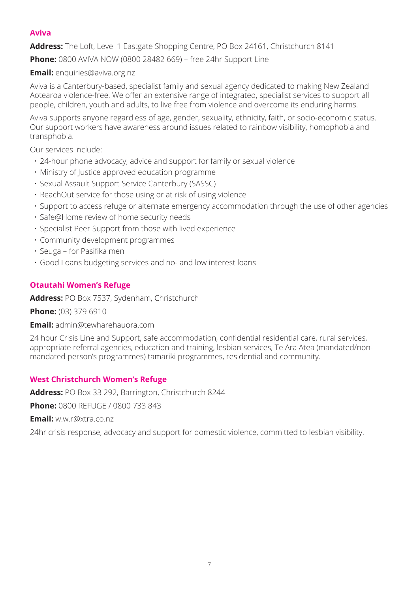# **Aviva**

**Address:** The Loft, Level 1 Eastgate Shopping Centre, PO Box 24161, Christchurch 8141

**Phone:** 0800 AVIVA NOW (0800 28482 669) – free 24hr Support Line

**Email:** enquiries@aviva.org.nz

Aviva is a Canterbury-based, specialist family and sexual agency dedicated to making New Zealand Aotearoa violence-free. We offer an extensive range of integrated, specialist services to support all people, children, youth and adults, to live free from violence and overcome its enduring harms.

Aviva supports anyone regardless of age, gender, sexuality, ethnicity, faith, or socio-economic status. Our support workers have awareness around issues related to rainbow visibility, homophobia and transphobia.

Our services include:

- 24-hour phone advocacy, advice and support for family or sexual violence
- Ministry of Justice approved education programme
- Sexual Assault Support Service Canterbury (SASSC)
- ReachOut service for those using or at risk of using violence
- Support to access refuge or alternate emergency accommodation through the use of other agencies
- Safe@Home review of home security needs
- Specialist Peer Support from those with lived experience
- Community development programmes
- Seuga for Pasifika men
- Good Loans budgeting services and no- and low interest loans

#### **Otautahi Women's Refuge**

**Address:** PO Box 7537, Sydenham, Christchurch

**Phone:** (03) 379 6910

**Email:** admin@tewharehauora.com

24 hour Crisis Line and Support, safe accommodation, confidential residential care, rural services, appropriate referral agencies, education and training, lesbian services, Te Ara Atea (mandated/nonmandated person's programmes) tamariki programmes, residential and community.

# **West Christchurch Women's Refuge**

**Address:** PO Box 33 292, Barrington, Christchurch 8244

**Phone:** 0800 REFUGE / 0800 733 843

**Email:** w.w.r@xtra.co.nz

24hr crisis response, advocacy and support for domestic violence, committed to lesbian visibility.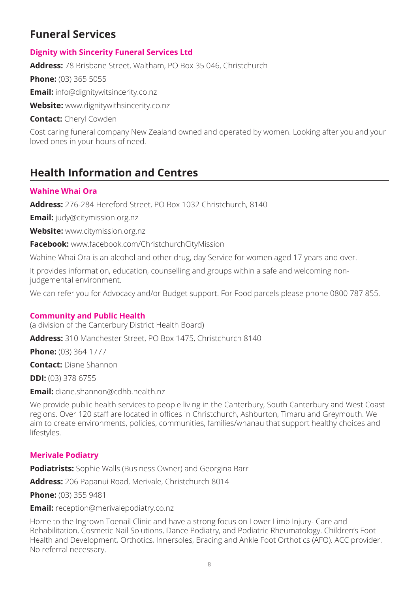# **Funeral Services**

# **Dignity with Sincerity Funeral Services Ltd**

**Address:** 78 Brisbane Street, Waltham, PO Box 35 046, Christchurch

**Phone:** (03) 365 5055

**Email:** info@dignitywitsincerity.co.nz

**Website:** www.dignitywithsincerity.co.nz

**Contact:** Cheryl Cowden

Cost caring funeral company New Zealand owned and operated by women. Looking after you and your loved ones in your hours of need.

# **Health Information and Centres**

#### **Wahine Whai Ora**

**Address:** 276-284 Hereford Street, PO Box 1032 Christchurch, 8140

**Email:** judy@citymission.org.nz

**Website:** www.citymission.org.nz

**Facebook:** www.facebook.com/ChristchurchCityMission

Wahine Whai Ora is an alcohol and other drug, day Service for women aged 17 years and over.

It provides information, education, counselling and groups within a safe and welcoming nonjudgemental environment.

We can refer you for Advocacy and/or Budget support. For Food parcels please phone 0800 787 855.

#### **Community and Public Health**

(a division of the Canterbury District Health Board)

**Address:** 310 Manchester Street, PO Box 1475, Christchurch 8140

**Phone:** (03) 364 1777

**Contact:** Diane Shannon

**DDI:** (03) 378 6755

**Email:** diane.shannon@cdhb.health.nz

We provide public health services to people living in the Canterbury, South Canterbury and West Coast regions. Over 120 staff are located in offices in Christchurch, Ashburton, Timaru and Greymouth. We aim to create environments, policies, communities, families/whanau that support healthy choices and lifestyles.

#### **Merivale Podiatry**

**Podiatrists:** Sophie Walls (Business Owner) and Georgina Barr

**Address:** 206 Papanui Road, Merivale, Christchurch 8014

**Phone:** (03) 355 9481

**Email:** reception@merivalepodiatry.co.nz

Home to the Ingrown Toenail Clinic and have a strong focus on Lower Limb Injury- Care and Rehabilitation, Cosmetic Nail Solutions, Dance Podiatry, and Podiatric Rheumatology. Children's Foot Health and Development, Orthotics, Innersoles, Bracing and Ankle Foot Orthotics (AFO). ACC provider. No referral necessary.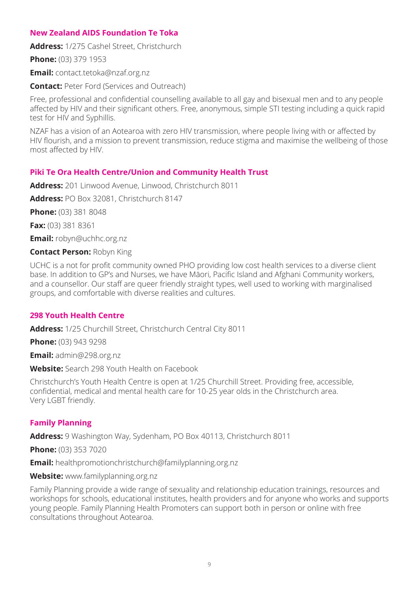## **New Zealand AIDS Foundation Te Toka**

**Address:** 1/275 Cashel Street, Christchurch

**Phone:** (03) 379 1953

**Email:** contact.tetoka@nzaf.org.nz

**Contact:** Peter Ford (Services and Outreach)

Free, professional and confidential counselling available to all gay and bisexual men and to any people affected by HIV and their significant others. Free, anonymous, simple STI testing including a quick rapid test for HIV and Syphillis.

NZAF has a vision of an Aotearoa with zero HIV transmission, where people living with or affected by HIV flourish, and a mission to prevent transmission, reduce stigma and maximise the wellbeing of those most affected by HIV.

## **Piki Te Ora Health Centre/Union and Community Health Trust**

**Address:** 201 Linwood Avenue, Linwood, Christchurch 8011

**Address:** PO Box 32081, Christchurch 8147

**Phone:** (03) 381 8048

**Fax:** (03) 381 8361

**Email:** robyn@uchhc.org.nz

**Contact Person:** Robyn King

UCHC is a not for profit community owned PHO providing low cost health services to a diverse client base. In addition to GP's and Nurses, we have Māori, Pacific Island and Afghani Community workers, and a counsellor. Our staff are queer friendly straight types, well used to working with marginalised groups, and comfortable with diverse realities and cultures.

#### **298 Youth Health Centre**

**Address:** 1/25 Churchill Street, Christchurch Central City 8011

**Phone:** (03) 943 9298

**Email:** admin@298.org.nz

**Website:** Search 298 Youth Health on Facebook

Christchurch's Youth Health Centre is open at 1/25 Churchill Street. Providing free, accessible, confidential, medical and mental health care for 10-25 year olds in the Christchurch area. Very LGBT friendly.

# **Family Planning**

**Address:** 9 Washington Way, Sydenham, PO Box 40113, Christchurch 8011

**Phone:** (03) 353 7020

**Email:** healthpromotionchristchurch@familyplanning.org.nz

**Website:** www.familyplanning.org.nz

Family Planning provide a wide range of sexuality and relationship education trainings, resources and workshops for schools, educational institutes, health providers and for anyone who works and supports young people. Family Planning Health Promoters can support both in person or online with free consultations throughout Aotearoa.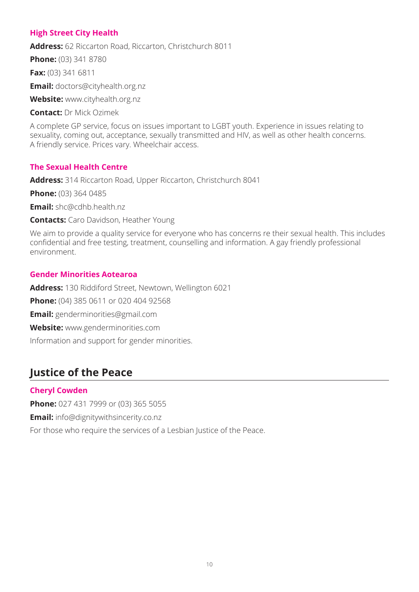# **High Street City Health**

**Address:** 62 Riccarton Road, Riccarton, Christchurch 8011

**Phone:** (03) 341 8780

**Fax:** (03) 341 6811

**Email:** doctors@cityhealth.org.nz

**Website:** www.cityhealth.org.nz

**Contact:** Dr Mick Ozimek

A complete GP service, focus on issues important to LGBT youth. Experience in issues relating to sexuality, coming out, acceptance, sexually transmitted and HIV, as well as other health concerns. A friendly service. Prices vary. Wheelchair access.

# **The Sexual Health Centre**

**Address:** 314 Riccarton Road, Upper Riccarton, Christchurch 8041

**Phone:** (03) 364 0485

**Email:** shc@cdhb.health.nz

**Contacts:** Caro Davidson, Heather Young

We aim to provide a quality service for everyone who has concerns re their sexual health. This includes confidential and free testing, treatment, counselling and information. A gay friendly professional environment.

## **Gender Minorities Aotearoa**

**Address:** 130 Riddiford Street, Newtown, Wellington 6021 **Phone:** (04) 385 0611 or 020 404 92568 **Email:** genderminorities@gmail.com **Website:** www.genderminorities.com Information and support for gender minorities.

# **Justice of the Peace**

# **Cheryl Cowden**

**Phone:** 027 431 7999 or (03) 365 5055

**Email:** info@dignitywithsincerity.co.nz

For those who require the services of a Lesbian Justice of the Peace.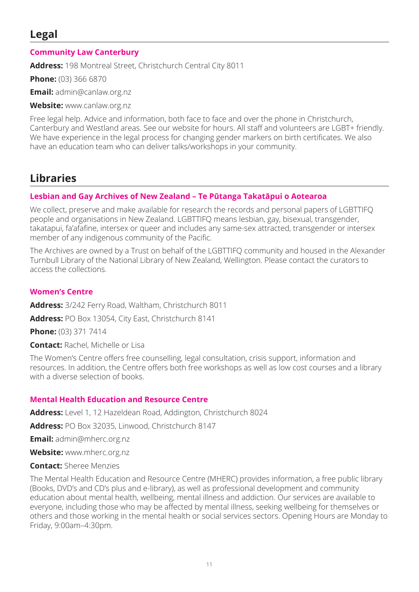# **Legal**

# **Community Law Canterbury**

**Address:** 198 Montreal Street, Christchurch Central City 8011

**Phone:** (03) 366 6870

**Email:** admin@canlaw.org.nz

**Website:** www.canlaw.org.nz

Free legal help. Advice and information, both face to face and over the phone in Christchurch, Canterbury and Westland areas. See our website for hours. All staff and volunteers are LGBT+ friendly. We have experience in the legal process for changing gender markers on birth certificates. We also have an education team who can deliver talks/workshops in your community.

# **Libraries**

# **Lesbian and Gay Archives of New Zealand – Te Pūtanga Takatāpui o Aotearoa**

We collect, preserve and make available for research the records and personal papers of LGBTTIFQ people and organisations in New Zealand. LGBTTIFQ means lesbian, gay, bisexual, transgender, takatapui, fa'afafine, intersex or queer and includes any same-sex attracted, transgender or intersex member of any indigenous community of the Pacific.

The Archives are owned by a Trust on behalf of the LGBTTIFQ community and housed in the Alexander Turnbull Library of the National Library of New Zealand, Wellington. Please contact the curators to access the collections.

# **Women's Centre**

**Address:** 3/242 Ferry Road, Waltham, Christchurch 8011

**Address:** PO Box 13054, City East, Christchurch 8141

**Phone:** (03) 371 7414

**Contact:** Rachel, Michelle or Lisa

The Women's Centre offers free counselling, legal consultation, crisis support, information and resources. In addition, the Centre offers both free workshops as well as low cost courses and a library with a diverse selection of books.

# **Mental Health Education and Resource Centre**

**Address:** Level 1, 12 Hazeldean Road, Addington, Christchurch 8024

**Address:** PO Box 32035, Linwood, Christchurch 8147

**Email:** admin@mherc.org.nz

**Website:** www.mherc.org.nz

**Contact:** Sheree Menzies

The Mental Health Education and Resource Centre (MHERC) provides information, a free public library (Books, DVD's and CD's plus and e-library), as well as professional development and community education about mental health, wellbeing, mental illness and addiction. Our services are available to everyone, including those who may be affected by mental illness, seeking wellbeing for themselves or others and those working in the mental health or social services sectors. Opening Hours are Monday to Friday, 9:00am–4:30pm.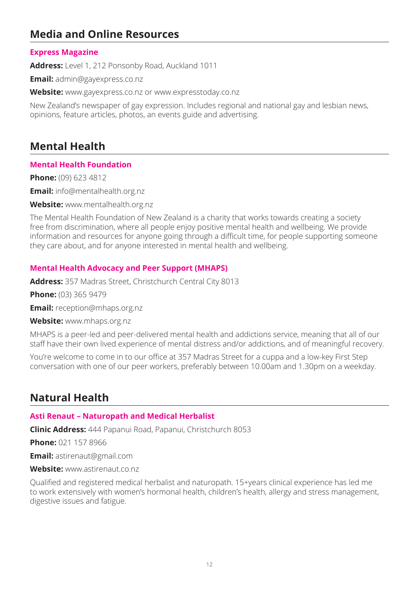# **Media and Online Resources**

## **Express Magazine**

**Address:** Level 1, 212 Ponsonby Road, Auckland 1011

**Email:** admin@gayexpress.co.nz

**Website:** www.gayexpress.co.nz or www.expresstoday.co.nz

New Zealand's newspaper of gay expression. Includes regional and national gay and lesbian news, opinions, feature articles, photos, an events guide and advertising.

# **Mental Health**

## **Mental Health Foundation**

**Phone:** (09) 623 4812

**Email:** info@mentalhealth.org.nz

**Website:** www.mentalhealth.org.nz

The Mental Health Foundation of New Zealand is a charity that works towards creating a society free from discrimination, where all people enjoy positive mental health and wellbeing. We provide information and resources for anyone going through a difficult time, for people supporting someone they care about, and for anyone interested in mental health and wellbeing.

## **Mental Health Advocacy and Peer Support (MHAPS)**

**Address:** 357 Madras Street, Christchurch Central City 8013

**Phone:** (03) 365 9479

**Email:** reception@mhaps.org.nz

**Website:** www.mhaps.org.nz

MHAPS is a peer-led and peer-delivered mental health and addictions service, meaning that all of our staff have their own lived experience of mental distress and/or addictions, and of meaningful recovery.

You're welcome to come in to our office at 357 Madras Street for a cuppa and a low-key First Step conversation with one of our peer workers, preferably between 10.00am and 1.30pm on a weekday.

# **Natural Health**

#### **Asti Renaut – Naturopath and Medical Herbalist**

**Clinic Address:** 444 Papanui Road, Papanui, Christchurch 8053

**Phone:** 021 157 8966

**Email:** astirenaut@gmail.com

**Website:** www.astirenaut.co.nz

Qualified and registered medical herbalist and naturopath. 15+years clinical experience has led me to work extensively with women's hormonal health, children's health, allergy and stress management, digestive issues and fatigue.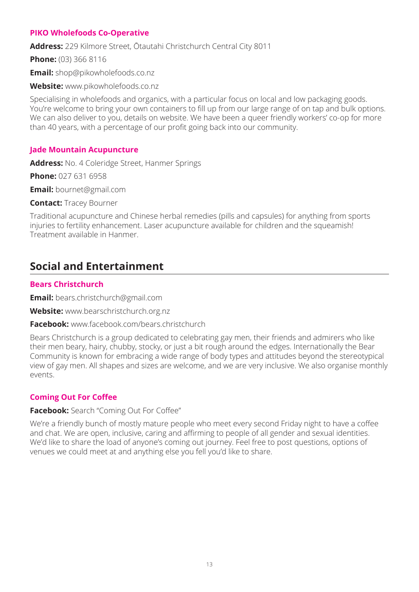## **PIKO Wholefoods Co-Operative**

**Address:** 229 Kilmore Street, Ōtautahi Christchurch Central City 8011

**Phone:** (03) 366 8116

**Email:** shop@pikowholefoods.co.nz

**Website:** www.pikowholefoods.co.nz

Specialising in wholefoods and organics, with a particular focus on local and low packaging goods. You're welcome to bring your own containers to fill up from our large range of on tap and bulk options. We can also deliver to you, details on website. We have been a queer friendly workers' co-op for more than 40 years, with a percentage of our profit going back into our community.

## **Jade Mountain Acupuncture**

**Address:** No. 4 Coleridge Street, Hanmer Springs

**Phone:** 027 631 6958

**Email:** bournet@gmail.com

**Contact:** Tracey Bourner

Traditional acupuncture and Chinese herbal remedies (pills and capsules) for anything from sports injuries to fertility enhancement. Laser acupuncture available for children and the squeamish! Treatment available in Hanmer.

# **Social and Entertainment**

#### **Bears Christchurch**

**Email:** bears.christchurch@gmail.com

**Website:** www.bearschristchurch.org.nz

#### **Facebook:** www.facebook.com/bears.christchurch

Bears Christchurch is a group dedicated to celebrating gay men, their friends and admirers who like their men beary, hairy, chubby, stocky, or just a bit rough around the edges. Internationally the Bear Community is known for embracing a wide range of body types and attitudes beyond the stereotypical view of gay men. All shapes and sizes are welcome, and we are very inclusive. We also organise monthly events.

# **Coming Out For Coffee**

#### **Facebook:** Search "Coming Out For Coffee"

We're a friendly bunch of mostly mature people who meet every second Friday night to have a coffee and chat. We are open, inclusive, caring and affirming to people of all gender and sexual identities. We'd like to share the load of anyone's coming out journey. Feel free to post questions, options of venues we could meet at and anything else you fell you'd like to share.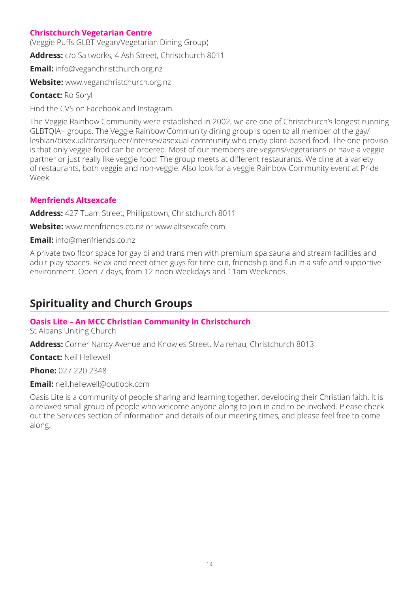# **Christchurch Vegetarian Centre**

(Veggie Puffs GLBT Vegan/Vegetarian Dining Group)

**Address:** c/o Saltworks, 4 Ash Street, Christchurch 8011

**Email:** info@veganchristchurch.org.nz

**Website:** www.veganchristchurch.org.nz

**Contact:** Ro Soryl

Find the CVS on Facebook and Instagram.

The Veggie Rainbow Community were established in 2002, we are one of Christchurch's longest running GLBTQIA+ groups. The Veggie Rainbow Community dining group is open to all member of the gay/ lesbian/bisexual/trans/queer/intersex/asexual community who enjoy plant-based food. The one proviso is that only veggie food can be ordered. Most of our members are vegans/vegetarians or have a veggie partner or just really like veggie food! The group meets at different restaurants. We dine at a variety of restaurants, both veggie and non-veggie. Also look for a veggie Rainbow Community event at Pride Week.

## **Menfriends Altsexcafe**

**Address:** 427 Tuam Street, Phillipstown, Christchurch 8011

**Website:** www.menfriends.co.nz or www.altsexcafe.com

**Email:** info@menfriends.co.nz

A private two floor space for gay bi and trans men with premium spa sauna and stream facilities and adult play spaces. Relax and meet other guys for time out, friendship and fun in a safe and supportive environment. Open 7 days, from 12 noon Weekdays and 11am Weekends.

# **Spirituality and Church Groups**

#### **Oasis Lite – An MCC Christian Community in Christchurch**

St Albans Uniting Church

**Address:** Corner Nancy Avenue and Knowles Street, Mairehau, Christchurch 8013

**Contact:** Neil Hellewell

**Phone:** 027 220 2348

**Email:** neil.hellewell@outlook.com

Oasis Lite is a community of people sharing and learning together, developing their Christian faith. It is a relaxed small group of people who welcome anyone along to join in and to be involved. Please check out the Services section of information and details of our meeting times, and please feel free to come along.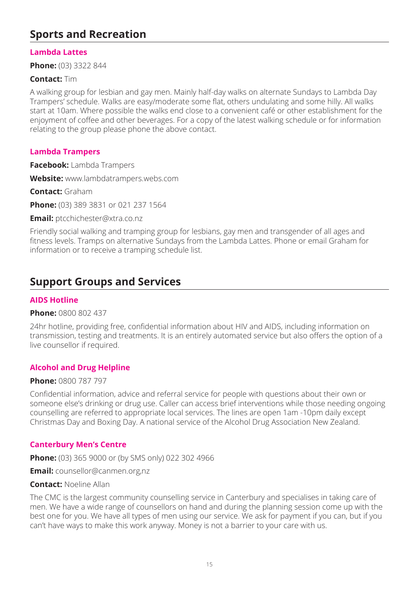# **Sports and Recreation**

## **Lambda Lattes**

**Phone:** (03) 3322 844

#### **Contact:** Tim

A walking group for lesbian and gay men. Mainly half-day walks on alternate Sundays to Lambda Day Trampers' schedule. Walks are easy/moderate some flat, others undulating and some hilly. All walks start at 10am. Where possible the walks end close to a convenient café or other establishment for the enjoyment of coffee and other beverages. For a copy of the latest walking schedule or for information relating to the group please phone the above contact.

#### **Lambda Trampers**

**Facebook:** Lambda Trampers

**Website:** www.lambdatrampers.webs.com

**Contact:** Graham

**Phone:** (03) 389 3831 or 021 237 1564

**Email:** ptcchichester@xtra.co.nz

Friendly social walking and tramping group for lesbians, gay men and transgender of all ages and fitness levels. Tramps on alternative Sundays from the Lambda Lattes. Phone or email Graham for information or to receive a tramping schedule list.

# **Support Groups and Services**

#### **AIDS Hotline**

#### **Phone:** 0800 802 437

24hr hotline, providing free, confidential information about HIV and AIDS, including information on transmission, testing and treatments. It is an entirely automated service but also offers the option of a live counsellor if required.

#### **Alcohol and Drug Helpline**

#### **Phone:** 0800 787 797

Confidential information, advice and referral service for people with questions about their own or someone else's drinking or drug use. Caller can access brief interventions while those needing ongoing counselling are referred to appropriate local services. The lines are open 1am -10pm daily except Christmas Day and Boxing Day. A national service of the Alcohol Drug Association New Zealand.

#### **Canterbury Men's Centre**

**Phone:** (03) 365 9000 or (by SMS only) 022 302 4966

**Email:** counsellor@canmen.org,nz

#### **Contact:** Noeline Allan

The CMC is the largest community counselling service in Canterbury and specialises in taking care of men. We have a wide range of counsellors on hand and during the planning session come up with the best one for you. We have all types of men using our service. We ask for payment if you can, but if you can't have ways to make this work anyway. Money is not a barrier to your care with us.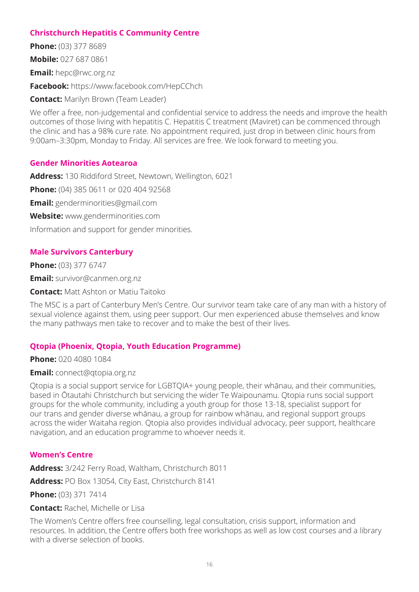## **Christchurch Hepatitis C Community Centre**

**Phone:** (03) 377 8689 **Mobile:** 027 687 0861 **Email:** hepc@rwc.org.nz **Facebook:** https://www.facebook.com/HepCChch **Contact:** Marilyn Brown (Team Leader)

We offer a free, non-judgemental and confidential service to address the needs and improve the health outcomes of those living with hepatitis C. Hepatitis C treatment (Maviret) can be commenced through the clinic and has a 98% cure rate. No appointment required, just drop in between clinic hours from 9:00am–3:30pm, Monday to Friday. All services are free. We look forward to meeting you.

#### **Gender Minorities Aotearoa**

**Address:** 130 Riddiford Street, Newtown, Wellington, 6021 **Phone:** (04) 385 0611 or 020 404 92568 **Email:** genderminorities@gmail.com **Website:** www.genderminorities.com Information and support for gender minorities.

## **Male Survivors Canterbury**

**Phone:** (03) 377 6747

**Email:** survivor@canmen.org.nz

**Contact:** Matt Ashton or Matiu Taitoko

The MSC is a part of Canterbury Men's Centre. Our survivor team take care of any man with a history of sexual violence against them, using peer support. Our men experienced abuse themselves and know the many pathways men take to recover and to make the best of their lives.

#### **Qtopia (Phoenix, Qtopia, Youth Education Programme)**

**Phone:** 020 4080 1084

#### **Email:** connect@qtopia.org.nz

Qtopia is a social support service for LGBTQIA+ young people, their whānau, and their communities, based in Ōtautahi Christchurch but servicing the wider Te Waipounamu. Qtopia runs social support groups for the whole community, including a youth group for those 13-18, specialist support for our trans and gender diverse whānau, a group for rainbow whānau, and regional support groups across the wider Waitaha region. Qtopia also provides individual advocacy, peer support, healthcare navigation, and an education programme to whoever needs it.

#### **Women's Centre**

**Address:** 3/242 Ferry Road, Waltham, Christchurch 8011

**Address:** PO Box 13054, City East, Christchurch 8141

**Phone:** (03) 371 7414

**Contact:** Rachel, Michelle or Lisa

The Women's Centre offers free counselling, legal consultation, crisis support, information and resources. In addition, the Centre offers both free workshops as well as low cost courses and a library with a diverse selection of books.